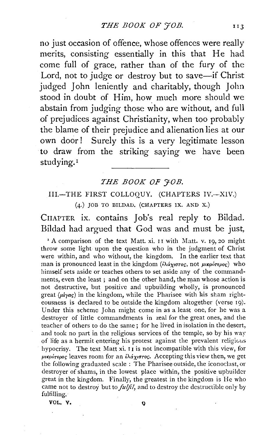no just occasion of offence, whose offences were really merits, consisting essentially in this that He had come full of grace, rather than of the fury of the Lord, not to judge or destroy but to save-if Christ judged John leniently and charitably, though John stood in doubt of Him, how much more should we abstain from judging those who are without, and full of prejudices against Christianity, when too probably the blame of their prejudice and alienation lies at our own door! Surely this is a very legitimate lesson to draw from the striking saying we have been studying.<sup>1</sup>

#### **THE BOOK OF FOB.**

#### III.~THE FIRST COLLOQUY. (CHAPTERS IV.-XIV.)

(4.) JOB TO BILDAD. (CHAPTERS IX. AND X.)

CHAPTER ix. contains Job's real reply to Bildad. Bildad had argued that God was and must be just,

<sup>1</sup> A comparison of the text Matt. xi. 11 with Matt. v. 19, 20 might throw some light upon the question who in the judgment of Christ were within, and who without, the kingdom. In the earlier text that man is pronounced least in the kingdom  $(i\lambda \alpha_{\chi \sigma \tau o \varsigma},$  not  $\mu \kappa \rho \omega \sigma \epsilon_{\rho o \varsigma})$  who himself sets aside or teaches others to set aside any of the commandments, even the least; and on the other hand, the man whose action is not destructive, but positive and upbuilding wholly, is pronounced great ( $\mu \ell y \alpha \zeta$ ) in the kingdom, while the Pharisee with his sham righteousness is declared to be outside the kingdom altogether (verse 19). Under this scheme John might come in as a least one, for he was a destroyer of little commandments in zeal for the great ones, and the teacher of others to do the same; for he lived in isolation in the desert, and took no part in the religious services of the temple, so by his way of life as a hermit entering his protest against the prevalent religious hypocrisy. The text Matt xi. I 1 is not incompatible with this view, for  $\mu\nu\kappa\rho\omega\tau\epsilon\rho\omega\varsigma$  leaves room for an  $i\lambda d\chi\sigma\tau\omega\varsigma$ . Accepting this view then, we get the following graduated scale : The Pharisee outside, the iconoclast, or destroyer of shams, in the lowest place within, the positive upbuilder great in the kingdom. Finally, the greatest in the kingdom is He who came not to destroy but to *juljil,* and to destroy the destructible only by fulfilling.

VOL. V,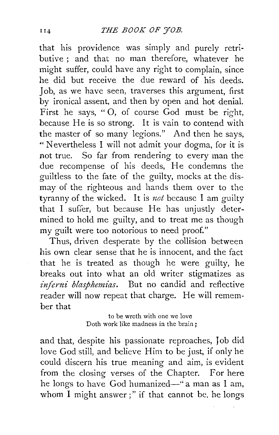that his providence was simply and purely retributive ; and that no man therefore, whatever he might suffer, could have any right to complain, since he did but receive the due reward of his deeds. Job, as we have seen, traverses this argument, first by ironical assent, and then by open and hot denial. First he says, "O, of course God must be right, because He is so strong. It is vain to contend with the master of so many legions." And then he says, "' Nevertheless I will not admit your dogma, for it is not true. So far from rendering to every man the due recompense of his deeds, He condemns the guiltless to the fate of the guilty, mocks at the dismay of the righteous and hands them over to the tyranny of the wicked. It is not because I am guilty that I suffer, but because He has unjustly determined to hold me guilty, and to treat me as though my guilt were too notorious to need proof."

Thus, driven desperate by the collision between his own clear sense that he is innocent, and the fact that he is treated as though he were guilty, he breaks out into what an old writer stigmatizes as inferni blasphemias. But no candid and reflective reader will now repeat that charge. He will remember that

> to be wrath with one we love Doth work like madness in the brain ;

and that, despite his passionate reproaches, Job did love God still, and believe Him to be just, if only he could discern his true meaning and aim, is evident from the closing verses of the Chapter. For here he longs to have God humanized-" a man as I am, whom I might answer ;" if that cannot be, he longs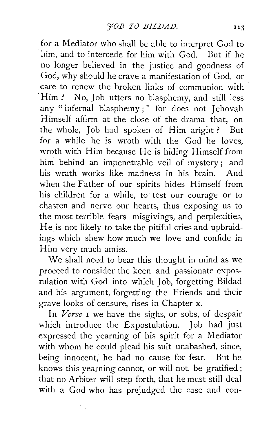for a Mediator who shall be able to interpret God to him, and to intercede for him with God. But if he no longer believed in the justice and goodness of God, why should he crave a manifestation of God, or care to renew the broken links of communion with Him ? No, Job utters no blasphemy, and still less any "infernal blasphemy;" for does not Jehovah Himself affirm at the close of the drama that, on the whole, Job had spoken of Him aright? But for a while he is wroth with the God he loves, wroth with Him because He is hiding Himself from him behind an impenetrable veil of mystery; and his wrath works like madness in his brain. And when the Father of our spirits hides Himself from his children for a while, to test our courage or to chasten and nerve our hearts, thus exposing us to the most terrible fears misgivings, and perplexities, He is not likely to take the pitiful cries and upbraidings which shew how much we love and confide in Him very much amiss.

We shall need to bear this thought in mind as we proceed to consider the keen and passionate expostulation with God into which Job, forgetting Bildad and his argument, forgetting the Friends and their grave looks of censure, rises in Chapter x.

In *Verse* I we have the sighs, or sobs, of despair which introduce the Expostulation. Job had just expressed the yearning of his spirit for a Mediator with whom he could plead his suit unabashed, since, being innocent, he had no cause for fear. But he knows this yearning cannot, or will not, be gratified ; that no Arbiter will step forth, that he must still deal with a God who has prejudged the case and con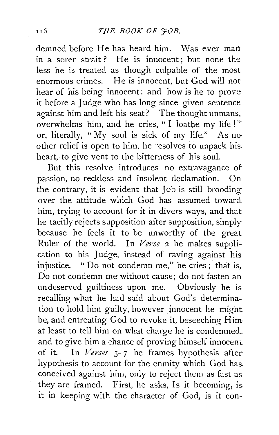demned before He has heard him. Was ever man in a sorer strait? He is innocent; but none the less he is treated as though culpable of the most enormous crimes. He is innocent, but God will not hear of his being innocent: and how is he to prove it before a Judge who has long since given sentence against him and left his seat? The thought unmans, overwhelms him, and he cries, " I loathe my life !" or, literally, "My soul is sick of my life." As no· other relief is open to him, he resolves to unpack his. heart, to give vent to the bitterness of his soul.

But this resolve introduces no extravagance of passion, no reckless and insolent declamation. On the contrary, it is evident that Job is still brooding over the attitude which God has assumed toward him, trying to account for it in divers ways, and that he tacitly rejects supposition after supposition, simply because he feels it to be unworthy of the great Ruler of the world. In *Verse* 2 he makes supplication to his Judge, instead of raving against his injustice. "Do not condemn me," he cries; that is, Do not condemn me without cause; do not fasten an undeserved guiltiness upon me. Obviously he is recalling what he had said about God's determination to hold him guilty, however innocent he might be, and entreating God to revoke it, beseeching Him at least to tell him on what charge he is condemned,. and to give him a chance of proving himself innocent of it. In *Verses* 3-7 he frames hypothesis after hypothesis to account for the enmity which God has. conceived against him, only to reject them as fast as they are framed. First, he asks, Is it becoming, is. it in keeping with the character of God, is it con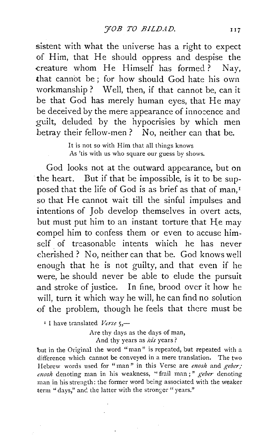sistent with what the universe has a right to expect of Him, that He should oppress and despise the creature whom He Himself has formed? Nay, that cannot be ; for how should God hate his own workmanship ? Well, then, if that cannot be, can it be that God has merely human eyes, that He may be deceived by the mere appearance of innocence and guilt, deluded by the hypocrisies by which men betray their fellow-men? No, neither can that be.

> It is not so with Him that all things knows As 'tis with us who square our guess by shows.

God looks not at the outward appearance, but on the heart. But if that be impossible, is it to be supposed that the life of God is as brief as that of man,<sup>1</sup> so that He cannot wait till the sinful impulses and intentions of Job develop themselves in overt acts, but must put him to an instant torture that He may compel him to confess them or even to accuse himself of treasonable intents which he has never cherished ? No, neither can that be. God knows well enough that he is not guilty, and that even if he were, he should never be able to elude the pursuit and stroke of justice. In fine, brood over it how he will, turn it which way he will, he can find no solution of the problem, though he feels that there must be

<sup>1</sup> I have translated *Verse* 5,-

Are thy days as the days of man, And thy years as *his* years?

but in the Original the word "man" is repeated, but repeated with a difference which cannot be conveyed in a mere translation. The two Hebrew words used for "man" in this Verse are *enosh* and *geber*; *nzoslz* denoting man in his weakness, " frail man ; " *geber* denoting man in his strength: the former word being associated with the weaker term "days," and the latter with the stronger "years."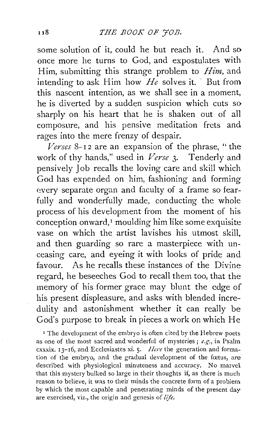some solution of it, could he but reach it. And so once more he turns to God, and expostulates with Him, submitting this strange problem to *Him,* and intending to ask Him how  $H_e$  solves it. But from this nascent intention, as we shall see in a moment, he is diverted by a sudden suspicion which cuts so sharply on his heart that he is shaken out of all composure, and his pensive meditation frets and rages into the mere frenzy of despair.

*Verses* 8- 1 2 are an expansion of the phrase, " the work of thy hands," used in *Verse* 3. Tenderly and pensively Job recalls the loving care and skill which God has expended on him, fashioning and forming every separate organ and faculty of a frame so fearfully and wonderfully made, conducting the whole process of his development from the moment of his conception onward,<sup>1</sup> moulding him like some exquisite vase on which the artist lavishes his utmost skill, and then guarding so rare a masterpiece with unceasing care, and eyeing it with looks of pride and favour. As he recalls these instances of the Divine regard, he beseeches God to recall them too, that the memory of his former grace may blunt the edge of his present displeasure, and asks with blended incredulity and astonishment whether it can really be God's purpose to break in pieces a work on which He

<sup>1</sup> The development of the embryo is often cited by the Hebrew poets as one of the most sacred and wonderful of mysteries ; *e.g.,* in Psalm cxxxix. 13-16, and Ecclesiastes xi. S· *llere* the generation and formation of the embryo, and the gradual development of the fœtus, are described with physiological minuteness and accuracy. No marvel that this mystery bulked so large in their thoughts if, as there is much reason to believe, it was to their minds the concrete form of a problem, by which the most capable and penetrating minds of the present day are exercised, viz., the origin and genesis of *life.*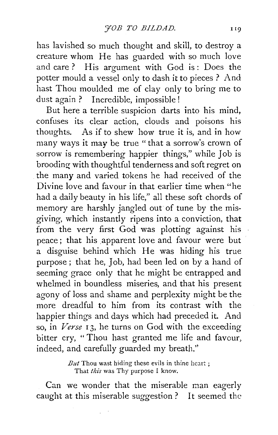has lavished so much thought and skill, to destroy a creature whom He has guarded with so much love and care ? His argument with God is : Does the potter mould a vessel only to dash it to pieces ? And hast Thou moulded me of clay only to bring me to dust again ? Incredible, impossible !

But here a terrible suspicion darts into his mind, confuses its clear action, clouds and poisons his thoughts. As if to shew how true it is, and in how many ways it may be true "that a sorrow's crown of sorrow is remembering happier things," while Job is brooding with thoughtful tenderness and soft regret on the many and varied tokens he had received of the Divine love and favour in that earlier time when "he had a daily beauty in his life," all these soft chords of memory are harshly jangled out of tune by the misgiving, which instantly ripens into a conviction, that from the very first God was plotting against his peace; that his apparent love and favour were but a disguise behind which He was hiding his true purpose ; that he, Job, had been led on by a hand of seeming grace only that he might be entrapped and whelmed in boundless miseries, and that his present agony of loss and shame and perplexity might be the more dreadful to him from its contrast with the happier things and days which had preceded it. And so, in *Verse* I 3, he turns on God with the exceeding bitter cry, "Thou hast granted me life and favour, indeed, and carefully guarded my breath,''

> $But$  Thou wast hiding these evils in thine heart; That *this* was Thy purpose I know.

Can we wonder that the miserable man eagerly caught at this miserable suggestion ? It seemed the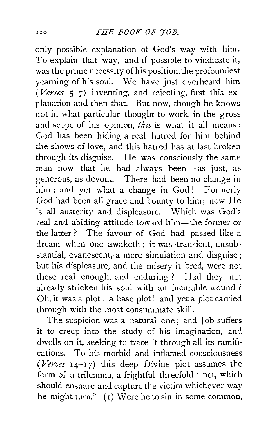only possible explanation of God's way with him. To explain that way, and if possible to vindicate it, was the prime necessity of his position, the profoundest yearning of his soul. We have just overheard him *(Verses* 5-7) inventing, and rejecting, first this explanation and then that. But now, though he knows not in what particular thought to work, in the gross and scope of his opinion, *this* is what it all means : God has been hiding a real hatred for him behind the shows of love, and this hatred has at last broken through its disguise. He was consciously the same man now that he had always been-as just, as generous, as devout. There had been no change in him; and yet what a change in God! Formerly God had been all grace and bounty to him; now He is all austerity and displeasure. Which was God's real and abiding attitude toward him-the former or the latter ? The favour of God had passed like a dream when one awaketh; it was transient, unsubstantial, evanescent, a mere simulation and disguise ; but his displeasure, and the misery it bred, were not these real enough, and enduring ? Had they not already stricken his soul with an incurable wound ? Oh, it was a plot ! a base plot! and yet a plot carried through with the most consummate skill.

The suspicion was a natural one; and Job suffers it to creep into the study of his imagination, and dwells on it, seeking to trace it through all its ramifications. To his morbid and inflamed consciousness *(Verses* I 4-I 7) this deep Divine plot assumes the form of a trilemma, a frightful threefold "net, which should ensnare and capture the victim whichever way he might turn.'' (I) Were he to sin in some common,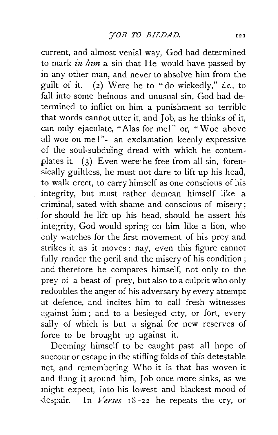current, and almost venial way, God had determined to mark *in him* a sin that He would have passed by in any other man, and never to absolve him from the guilt of it. (2) Were he to "do wickedly," *i.e.,* to fall into some heinous and unusual sin. God had determined to inflict on him a punishment so terrible that words cannot utter it, and Job, as he thinks of it, can only ejaculate, "Alas for me!" or, "Woe above all woe on me!"-an exclamation keenly expressive of the soul-subduing dread with which he contemplates it. (3) Even were he free from all sin, forensically guiltless, he must not dare to lift up his head, to walk erect, to carry himself as one conscious of his integrity, but must rather demean himself like a criminal, sated with shame and conscious of misery; for should he lift up his head, should he assert his integrity, God would spring on him like a lion, who only watches for the first movement of his prey and strikes it as it moves: nay, even this figure cannot fully render the peril and the misery of his condition; and therefore he compares himself, not only to the prey of a beast of prey, but also to a culprit who only redoubles the anger of his adversary by every attempt at defence, and incites him to call fresh witnesses against him ; and to a besieged city, or fort, every sally of which is but a signal for new reserves of force to be brought up against it.

Deeming himself to be caught past all hope of succour or escape in the stifling folds of this detestable net, and remembering Who it is that has woven it and flung it around him, Job once more sinks, as we might expect, into his lowest and blackest mood of despair. In *Verses*  $18-22$  he repeats the cry, or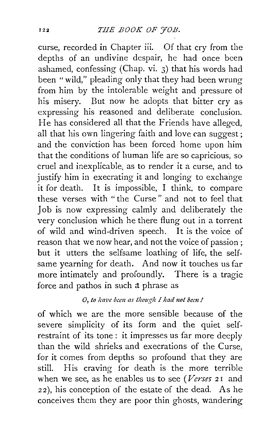curse, recorded in Chapter iii. Of that cry from the depths of an undivine despair, he had once been ashamed, confessing (Chap. vi. 3) that his words had been ''wild," pleading only that they had been wrung from him by the intolerable weight and pressure ot his misery. But now he adopts that bitter cry as expressing his reasoned and deliberate conclusion. He has considered all that the Friends have alleged, all that his own lingering faith and love can suggest; and the conviction has been forced home upon him that the conditions of human life are so capricious, so cruel and inexplicable; as to render it a curse, and to justify him in execrating it and longing to exchange it for death. It is impossible, I think, to compare these verses with "the Curse" and not to feel that Job is now expressing calmly and deliberately the very conclusion which he there flung out in a torrent of wild and wind-driven speech. It is the voice of reason that we now hear, and not the voice of passion : but it utters the selfsame loathing of life, the selfsame yearning for death. And now it touches us far more intimately and profoundly. There is a tragic force and pathos in such a phrase as

# *0, to ltave been as thouglz I had 11ot bem* I

of which we are the more sensible because of the severe simplicity of its form and the quiet selfrestraint of its tone: it impresses us far more deeply than the wild shrieks and execrations of the Curse, for it comes from depths so profound that they are still. His craving for death is the more terrible when we see, as he enables us to see *(Verses* 2 r and 22), his conception of the estate of the dead. As he conceives them they are poor thin ghosts, wandering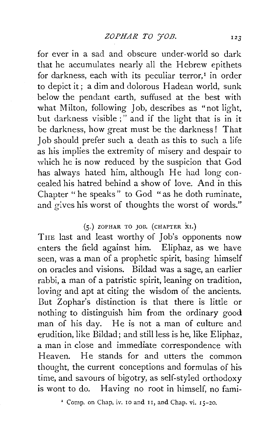for ever in a sad and obscure under-world so dark that he accumulates nearly all the Hebrew epithets for darkness, each with its peculiar terror, $<sup>I</sup>$  in order</sup> to depict it; a dim and dolorous Hadean world, sunk below the pendant earth, suffused at the best with what Milton, following Job, describes as "not light, but darkness visible ; " and if the light that is in it be darkness, how great must be the darkness! That Job should prefer such a death as this to such a life as his implies the extremity of misery and despair to which he is now reduced by the suspicion that God has always hated him, although He had long concealed his hatred behind a show of love. And in this Chapter " he speaks" to God " as he doth ruminate, and gives his worst of thoughts the worst of words."

## $(5.)$  ZOPHAR TO JOB. (CHAPTER XI.)

THE last and least worthy of Job's opponents now enters the field against him. Eliphaz, as we have seen, was a man of a prophetic spirit, basing himself on oracles and visions. Bildad was a sage, an earlier rabbi, a man of a patristic spirit, leaning on tradition, loving and apt at citing the wisdom of the ancients. But Zophar's distinction is that there is little or nothing to distinguish him from the ordinary good man of his day. He is not a man of culture and erudition, like Bildad; and still less is he, like Eliphaz, a man in close and immediate correspondence with Heaven. He stands for and utters the common thought, the current conceptions and formulas of his time, and savours of bigotry, as self-styled orthodoxy is wont to do. Having no root in himself, no fami-

*z* Comp. on Chap. iv. ro and rr, and Chap. vi. 15-20.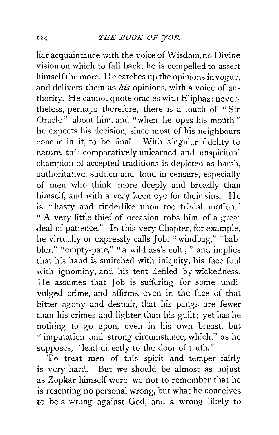liar acquaintance with the voice of Wisdom, no Divine vision on which to fall back, he is compelled to assert himself the more. He catches up the opinions in vogue, and delivers them as *his* opinions, with a voice of authority. He cannot quote oracles with Eliphaz; nevertheless, perhaps therefore, there is a touch of " Sir Oracle" about him, and "when he opes his mouth" he expects his decision, since most of his neighbours concur in it, to be final. With singular fidelity to nature, this comparatively unlearned and unspiritual champion of accepted traditions is depicted as harsh, authoritative, sudden and loud in censure, especially of men who think more deeply and broadly than himself, and with a very keen eye for their sins. He is "hasty and tinderlike upon too trivial motion." " A very little thief of occasion robs him of a grea. deal of patience." In this very Chapter, for example, he virtually or expressly calls Job, "windbag," "babbler," "empty-pate," "a wild ass's colt;" and implies that his hand is smirched with iniquity, his face foul with ignominy, and his tent defiled by wickedness. He assumes that Job is suffering for some undi vulged crime, and affirms, even in the face of that bitter agony and despair, that his pangs are fewer than his crimes and lighter than his guilt; yet has he nothing to go upon, even in his own breast, but •' imputation and strong circumstance, which,'' as he supposes, "lead directly to the door of truth."

To treat men of this spirit and temper fairly is very hard. But we should be almost as unjust as Zopkar himself were we not to remember that he is resenting no personal wrong, but what he conceives to be a wrong against God, and a wrong likely to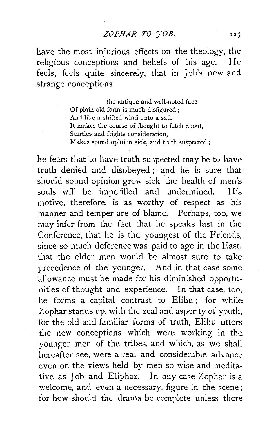have the most injurious effects on the theology, the religious conceptions and beliefs of his age. He feels, feels quite sincerely, that in Job's new and strange conceptions

> the antique and well-noted face Of plain old form is much disfigured ; And like a shifted wind unto a sail, It makes the course of thought to fetch about, Startles and frights consideration, Makes sound opinion sick, and truth suspected ;

he fears that to have truth suspected may be to have truth denied and disobeyed ; and he is sure that should sound opinion grow sick the health of men's souls will be imperilled and undermined. His motive, therefore, is as worthy of respect as his manner and temper are of blame. Perhaps, too, we may infer from the fact that he speaks last in the Conference, that he is the youngest of the Friends, since so much deference was paid to age in the East, that the elder men would be almost sure to take precedence of the younger. And in that case some allowance must be made for his diminished opportunities of thought and experience. In that case, too, he forms a capital contrast to Elihu ; for while Zophar stands up, with the zeal and asperity of youth. for the old and familiar forms of truth, Elihu utters the new conceptions which were working in the younger men of the tribes, and which, as we shall hereafter see, were a real and considerable advance even on the views held by men so wise and meditative as Job and Eliphaz. In any case Zophar is a welcome, and even a necessary, figure in the scene; for how should the drama be complete unless there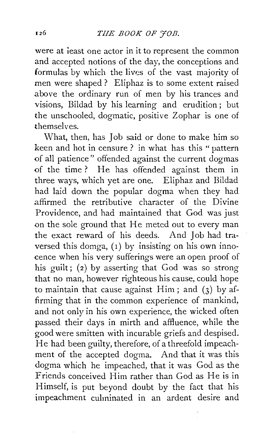were at least one actor in it to represent the common and accepted notions of the day, the conceptions and formulas by which the lives of the vast majority of men were shaped? Eliphaz is to some extent raised above the ordinary run of men by his trances and visions, Bildad by his learning and erudition ; but the unschooled, dogmatic, positive Zophar is one of themselves.

What, then, has Job said or done to make him so keen and hot in censure? in what has this "pattern of all patience" offended against the current dogmas of the time ? He has offended against them in three ways, which yet are one. Eliphaz and Bildad had laid down the popular dogma when they had affirmed the retributive character of the Divine Providence, and had maintained that God was just on the sole ground that He meted out to every man the exact reward of his deeds. And Job had traversed this domga,  $(1)$  by insisting on his own innocence when his very sufferings were an open proof of his guilt; (2) by asserting that God was so strong that no man, however righteous his cause, could hope to maintain that cause against Him; and  $(3)$  by affirming that in the common experience of mankind, and not only in his own experience, the wicked often passed their days in mirth and affluence, while the good were smitten with incurable griefs and despised. He had been guilty, therefore, of a threefold impeachment of the accepted dogma. And that it was this dogma which he impeached, that it was God as the Friends conceived Him rather than God as He is in Himself, is put beyond doubt by the fact that his impeachment culminated in an ardent desire and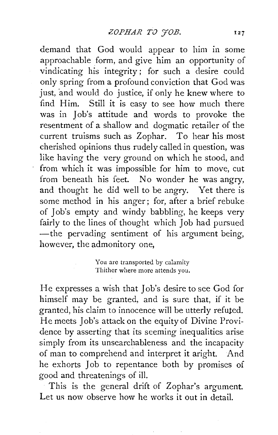demand that God would appear to him in some approachable form, and give him an opportunity of vindicating his integrity; for such a desire could only spring from a profound conviction that God was just, and would do justice, if only he knew where to find Him. Still it is easy to see how much there was in Job's attitude and words to provoke the resentment of a shallow and dogmatic retailer of the current truisms such as Zophar. To hear his most cherished opinions thus rudely called in question, was like having the very ground on which he stood, and from which it was impossible for him to move, cut from beneath his feet. No wonder he was angry, and thought he did well to be angry. Yet there is some method in his anger; for, after a brief rebuke of Job's empty and windy babbling, he keeps very fairly to the lines of thought which Job had pursued -the pervading sentiment of his argument being, however, the admonitory one,

> You are transported by calamity Thither where more attends you.

He expresses a wish that Job's desire to see God for himself may be granted, and is sure that, if it be granted, his claim to innocence will be utterly refuted. He meets Job's attack on the equity of Divine Providence by asserting that its seeming inequalities arise simply from its unsearchableness and the incapacity of man to comprehend and interpret it aright. And he exhorts Job to repentance both by promises of good and threatenings of ill.

This is the general drift of Zophar's argument. Let us now observe how he works it out in detail.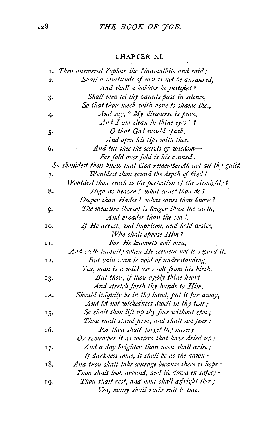#### CHAPTER XI.

|     | <b>1.</b> Then answered Zophar the Naamathite and said:        |
|-----|----------------------------------------------------------------|
| 2.  | Shall a multitude of words not be answered,                    |
|     | And shall a babbler be justified?                              |
| 3.  | Shall men let thy vaunts pass in silence,                      |
|     | So that thou mock with none to shame thes,                     |
| ሩ   | And say, "My discourse is pure,                                |
|     | And I am clean in thine eyes"?                                 |
| 5.  | O that God would speak,                                        |
|     | And open his lips with thee,                                   |
| 6.  | And tell thee the secrets of wisdom-                           |
|     | For fold over fold is his counsel:                             |
|     | So shouldest thou know that God remembereth not all thy guilt. |
| 7.  | Wouldest thou sound the depth of God?                          |
|     | Wouldest thou reach to the perfection of the Almighty?         |
| 8.  | High as heaven! what canst thou do?                            |
|     | Deeper than Hades! what canst thou know?                       |
| 9.  | The measure thereof is longer than the earth,                  |
|     | And broader than the sea !.                                    |
| 10. | If He arrest, and imprison, and hold assize,                   |
|     | Who shall oppose Him?                                          |
| 11. | For He knoweth evil men,                                       |
|     | And secth iniquity when He seemeth not to regard it.           |
| 12. | But vain man is void of understanding,                         |
|     | Yea, man is a wild ass's colt from his birth.                  |
| 13. | But thou, if thou apply thine heart                            |
|     | And stretch forth thy hands to Him,                            |
| 14. | Should iniquity be in thy hand, put it far away,               |
|     | And let not wickedness dwell in thy tent;                      |
| 15. | So shalt thou lift up thy face without spot;                   |
|     | Thou shalt stand firm, and shalt not fear:                     |
| 16. | For thou shalt forget thy misery,                              |
|     | Or remember it as waters that have dried $u\phi$ :             |
| 17. | And a day brighter than noon shall arise;                      |
|     | If darkness come, it shall be as the dawn:                     |
| 18. | And thou shalt take courage because there is hope;             |
|     | Thou shalt look around, and lie down in safety:                |
| 19. | Thou shalt rest, and none shall affright thee;                 |
|     | Yea, many shall make suit to thee.                             |
|     |                                                                |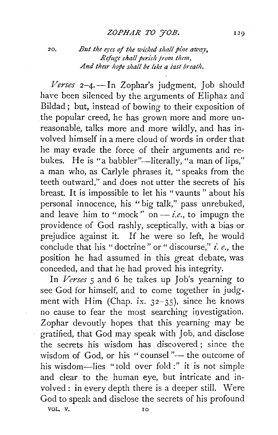20. *But the eyes of the wicked shall pine away, Refuge shall perish jrom them, And thetr !10pe slzall be like a iast breath.* 

 $2-4$ *. -- In Zophar's judgment, Job should* have been silenced by the arguments of Eliphaz and Bildad ; but, instead of bowing to their exposition of . the popular creed, he has grown more and more unreasonable, talks more and more wildly, and has involved himself in a mere cloud of words in order that he may evade the force of their arguments and rebukes. He is "a babbler"-literally, "a man of lips," a man who, as Carlyle phrases it, ''speaks from the teeth outward," and does not utter the secrets of his breast. It is impossible to let his "vaunts" about his personal innocence, his "big talk," pass unrebuked, and leave him to "mock" on  $-i.e.,$  to impugn the providence of God rashly, sceptically, with a bias or prejudice against it. If he were so left, he would conclude that his "doctrine" or " discourse," *i. e.,* the position he had assumed in this great debate, was conceded, and that he had proved his integrity.

In *Verses* 5 and 6 he takes up Job's yearning to see God for himself, and to come together in judgment with Him (Chap. ix.  $32-35$ ), since he knows no cause to fear the most searching investigation. Zophar devoutly hopes that this yearning may be gratified, that God may speak with Job, and disclose the secrets his wisdom has discovered; since the wisdom of God, or his " counsel " $-$  the outcome of his wisdom-lies "told over fold :" it is not simple and clear to the human eye, but intricate and involved : in every depth there is a deeper still. Were God to speak and disclose the secrets of his profound VOL. V.

120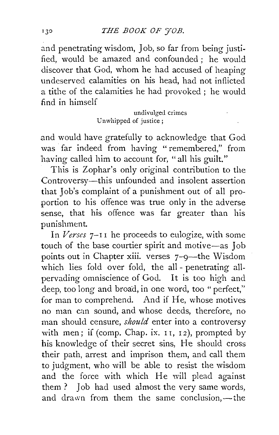and penetrating wisdom, Job, so far from being justified, would be amazed and confounded : he would discover that God, whom he had accused of heaping undeserved calamities on his head, had not inflicted a tithe of the calamities he had provoked ; he would find in himself

> undivulged crimes Unwhipped of justice;

and would have gratefully to acknowledge that God was far indeed from having "remembered," from having called him to account for, "all his guilt."

This is Zophar's only original contribution to the Controversy-this unfounded and insolent assertion that Job's complaint of a punishment out of all proportion to his offence was true only in the adverse sense, that his offence was far greater than his punishment.

In *Verses* 7-I I he proceeds to eulogize, with some touch of the base courtier spirit and motive-as Job points out in Chapter xiii. verses  $7$ -9-the Wisdom which lies fold over fold, the all-penetrating allpervading omniscience of God. It is too high and deep, too long and broad, in one word, too " perfect," for man to comprehend. And if He, whose motives no man can sound, and whose deeds, therefore, no man should censure, *should* enter into a controversy with men; if (comp. Chap. ix.  $11$ ,  $12$ ), prompted by his knowledge of their secret sins, He should cross their path, arrest and imprison them, and call them to judgment, who will be able to resist the wisdom and the force with which He will plead against them ? Job had used almost the very same words, and drawn from them the same conclusion,-the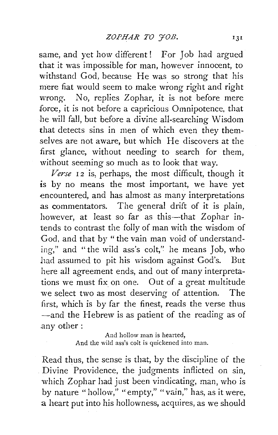same, and yet how different! For Job had argued that it was impossible for man, however innocent, to withstand God, because He was so strong that his mere fiat would seem to make wrong right and right wrong. No, replies Zophar, it is not before mere force, it is not before a capricious Omnipotence, that he will fall, but before a divine all-searching Wisdom that detects sins in men of which even they themselves are not aware, but which He discovers at the first glance, without needing to search for them, without seeming so much as to look that way.

Verse 12 is, perhaps, the most difficult, though it is by no means the most important, we have yet encountered, and has almost as many interpretations as commentators. The general drift of it is plain, however, at least so far as this-that Zophar intends to contrast the folly of man with the wisdom of God, and that by "the vain man void of understanding," and "the wild ass's colt," he means Job, who had assumed to pit his wisdom against God's. But here all agreement ends, and out of many interpretations we must fix on one. Out of a great multitude we select two as most deserving of attention. The first, which is by far the finest, reads the verse thus -and the Hebrew is as patient of the reading as of .any other:

> And hollow man is hearted, And the wild ass's colt is quickened into man.

Read thus, the sense is that, by the discipline of the . Divine Providence, the judgments inflicted on sin, which Zophar had just been vindicating, man, who is by nature "hollow," "empty," "vain," has, as it were, a heart put into his hollowness, acquires, as we should